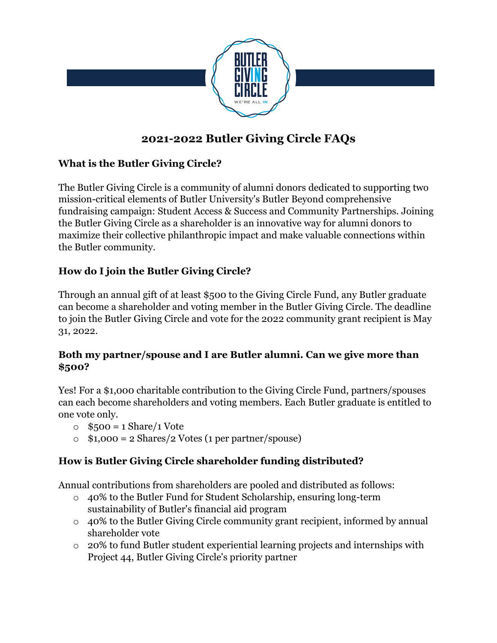

# **2021-2022 Butler Giving Circle FAQs**

### **What is the Butler Giving Circle?**

The Butler Giving Circle is a community of alumni donors dedicated to supporting two mission-critical elements of Butler University's Butler Beyond comprehensive fundraising campaign: Student Access & Success and Community Partnerships. Joining the Butler Giving Circle as a shareholder is an innovative way for alumni donors to maximize their collective philanthropic impact and make valuable connections within the Butler community.

### **How do I join the Butler Giving Circle?**

Through an annual gift of at least \$500 to the Giving Circle Fund, any Butler graduate can become a shareholder and voting member in the Butler Giving Circle. The deadline to join the Butler Giving Circle and vote for the 2022 community grant recipient is May 31, 2022.

### **Both my partner/spouse and I are Butler alumni. Can we give more than \$500?**

Yes! For a \$1,000 charitable contribution to the Giving Circle Fund, partners/spouses can each become shareholders and voting members. Each Butler graduate is entitled to one vote only.

- $\circ$  \$500 = 1 Share/1 Vote
- $\circ$  \$1,000 = 2 Shares/2 Votes (1 per partner/spouse)

# **How is Butler Giving Circle shareholder funding distributed?**

Annual contributions from shareholders are pooled and distributed as follows:

- o 40% to the Butler Fund for Student Scholarship, ensuring long-term sustainability of Butler's financial aid program
- o 40% to the Butler Giving Circle community grant recipient, informed by annual shareholder vote
- o 20% to fund Butler student experiential learning projects and internships with Project 44, Butler Giving Circle's priority partner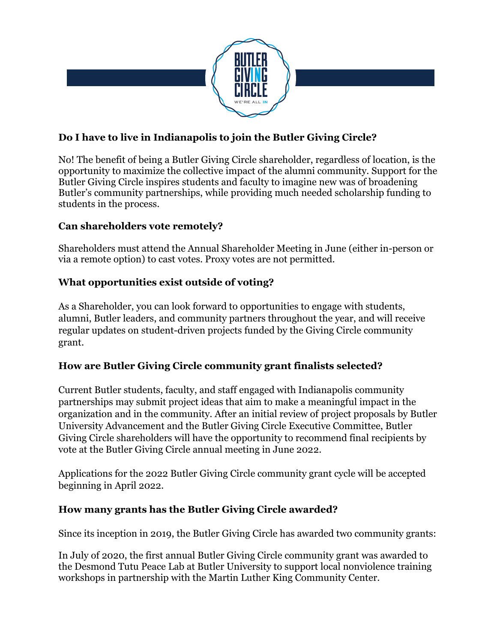

## **Do I have to live in Indianapolis to join the Butler Giving Circle?**

No! The benefit of being a Butler Giving Circle shareholder, regardless of location, is the opportunity to maximize the collective impact of the alumni community. Support for the Butler Giving Circle inspires students and faculty to imagine new was of broadening Butler's community partnerships, while providing much needed scholarship funding to students in the process.

### **Can shareholders vote remotely?**

Shareholders must attend the Annual Shareholder Meeting in June (either in-person or via a remote option) to cast votes. Proxy votes are not permitted.

### **What opportunities exist outside of voting?**

As a Shareholder, you can look forward to opportunities to engage with students, alumni, Butler leaders, and community partners throughout the year, and will receive regular updates on student-driven projects funded by the Giving Circle community grant.

### **How are Butler Giving Circle community grant finalists selected?**

Current Butler students, faculty, and staff engaged with Indianapolis community partnerships may submit project ideas that aim to make a meaningful impact in the organization and in the community. After an initial review of project proposals by Butler University Advancement and the Butler Giving Circle Executive Committee, Butler Giving Circle shareholders will have the opportunity to recommend final recipients by vote at the Butler Giving Circle annual meeting in June 2022.

Applications for the 2022 Butler Giving Circle community grant cycle will be accepted beginning in April 2022.

#### **How many grants has the Butler Giving Circle awarded?**

Since its inception in 2019, the Butler Giving Circle has awarded two community grants:

In July of 2020, the first annual Butler Giving Circle community grant was awarded to the Desmond Tutu Peace Lab at Butler University to support local nonviolence training workshops in partnership with the Martin Luther King Community Center.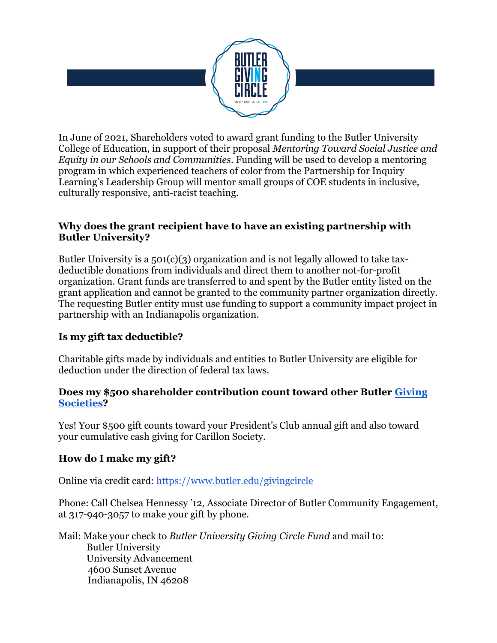

In June of 2021, Shareholders voted to award grant funding to the Butler University College of Education, in support of their proposal *Mentoring Toward Social Justice and Equity in our Schools and Communities*. Funding will be used to develop a mentoring program in which experienced teachers of color from the Partnership for Inquiry Learning's Leadership Group will mentor small groups of COE students in inclusive, culturally responsive, anti-racist teaching.

#### **Why does the grant recipient have to have an existing partnership with Butler University?**

Butler University is a  $501(c)(3)$  organization and is not legally allowed to take taxdeductible donations from individuals and direct them to another not-for-profit organization. Grant funds are transferred to and spent by the Butler entity listed on the grant application and cannot be granted to the community partner organization directly. The requesting Butler entity must use funding to support a community impact project in partnership with an Indianapolis organization.

### **Is my gift tax deductible?**

Charitable gifts made by individuals and entities to Butler University are eligible for deduction under the direction of federal tax laws.

#### **Does my \$500 shareholder contribution count toward other Butler [Giving](https://www.butler.edu/giving-societies) [Societies?](https://www.butler.edu/giving-societies)**

Yes! Your \$500 gift counts toward your President's Club annual gift and also toward your cumulative cash giving for Carillon Society.

### **How do I make my gift?**

Online via credit card:<https://www.butler.edu/givingcircle>

Phone: Call Chelsea Hennessy '12, Associate Director of Butler Community Engagement, at 317-940-3057 to make your gift by phone.

Mail: Make your check to *Butler University Giving Circle Fund* and mail to: Butler University University Advancement 4600 Sunset Avenue Indianapolis, IN 46208